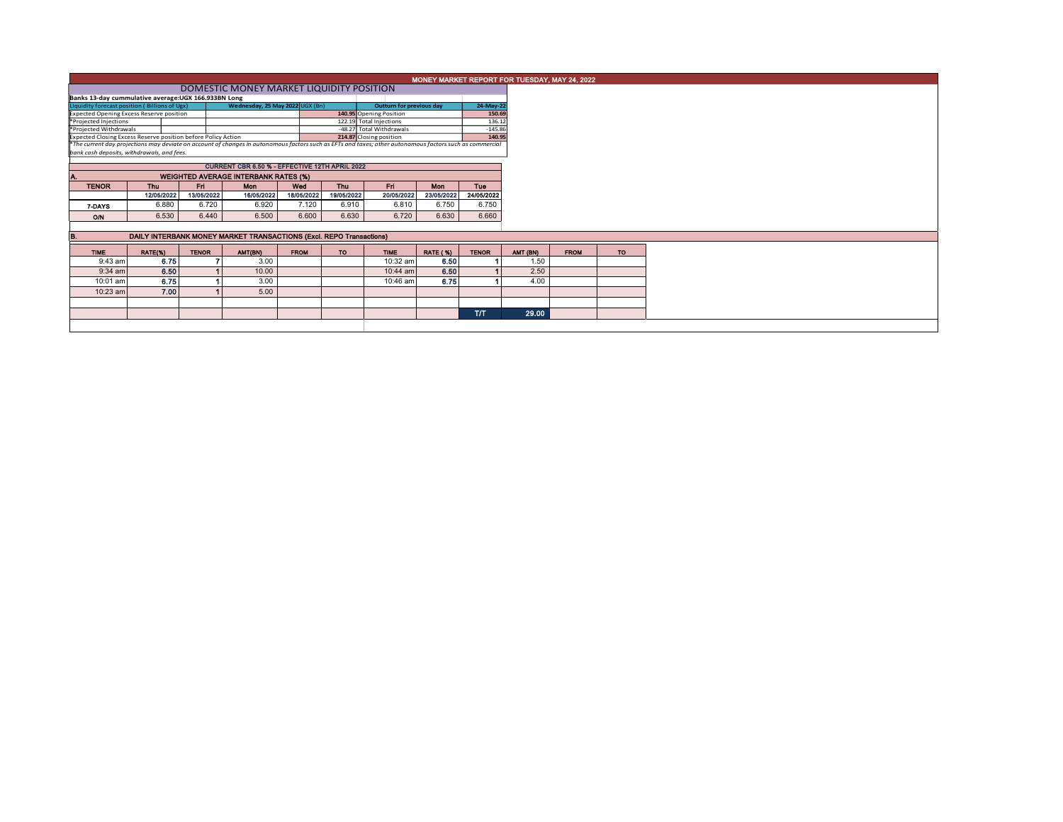|                                                                                                                                                          | MONEY MARKET REPORT FOR TUESDAY, MAY 24, 2022                                                               |              |            |       |             |            |                          |                                                    |              |  |  |  |  |  |  |
|----------------------------------------------------------------------------------------------------------------------------------------------------------|-------------------------------------------------------------------------------------------------------------|--------------|------------|-------|-------------|------------|--------------------------|----------------------------------------------------|--------------|--|--|--|--|--|--|
|                                                                                                                                                          | DOMESTIC MONEY MARKET LIQUIDITY POSITION                                                                    |              |            |       |             |            |                          |                                                    |              |  |  |  |  |  |  |
|                                                                                                                                                          | Banks 13-day cummulative average: UGX 166.933BN Long                                                        |              |            |       |             |            |                          |                                                    |              |  |  |  |  |  |  |
| Wednesday, 25 May 2022 UGX (Bn)<br>Liquidity forecast position (Billions of Ugx)<br>24-May-22<br><b>Outturn for previous day</b><br>150.69               |                                                                                                             |              |            |       |             |            |                          |                                                    |              |  |  |  |  |  |  |
| Expected Opening Excess Reserve position<br>*Projected Injections                                                                                        |                                                                                                             |              |            |       |             |            |                          | 140.95 Opening Position<br>122.19 Total Injections |              |  |  |  |  |  |  |
| *Projected Withdrawals                                                                                                                                   |                                                                                                             |              |            |       |             |            | -48.27 Total Withdrawals | 136.12<br>$-145.86$                                |              |  |  |  |  |  |  |
| Expected Closing Excess Reserve position before Policy Action                                                                                            |                                                                                                             |              |            |       |             |            | 214.87 Closing position  |                                                    | 140.95       |  |  |  |  |  |  |
| *The current day projections may deviate on account of changes in autonomous factors such as EFTs and taxes; other autonomous factors such as commercial |                                                                                                             |              |            |       |             |            |                          |                                                    |              |  |  |  |  |  |  |
| bank cash deposits, withdrawals, and fees.                                                                                                               |                                                                                                             |              |            |       |             |            |                          |                                                    |              |  |  |  |  |  |  |
|                                                                                                                                                          | CURRENT CBR 6.50 % - EFFECTIVE 12TH APRIL 2022                                                              |              |            |       |             |            |                          |                                                    |              |  |  |  |  |  |  |
|                                                                                                                                                          |                                                                                                             |              |            |       |             |            |                          |                                                    |              |  |  |  |  |  |  |
| <b>TENOR</b>                                                                                                                                             | <b>WEIGHTED AVERAGE INTERBANK RATES (%)</b><br>Thu<br>Fri.<br><b>Thu</b><br>Fn.<br>Mon<br>Tue<br>Mon<br>Wed |              |            |       |             |            |                          |                                                    |              |  |  |  |  |  |  |
|                                                                                                                                                          | 12/05/2022                                                                                                  | 13/05/2022   | 16/05/2022 |       | 18/05/2022  | 19/05/2022 | 20/05/2022               | 23/05/2022                                         | 24/05/2022   |  |  |  |  |  |  |
|                                                                                                                                                          |                                                                                                             |              |            |       |             |            |                          |                                                    |              |  |  |  |  |  |  |
| 7-DAYS                                                                                                                                                   | 6.880                                                                                                       | 6.720        |            | 6.920 | 7.120       | 6.910      | 6.810                    | 6.750                                              | 6.750        |  |  |  |  |  |  |
| O/N                                                                                                                                                      | 6.530                                                                                                       | 6.440        |            | 6.500 | 6.600       | 6.630      | 6.720                    | 6.630                                              | 6.660        |  |  |  |  |  |  |
|                                                                                                                                                          |                                                                                                             |              |            |       |             |            |                          |                                                    |              |  |  |  |  |  |  |
| IB.                                                                                                                                                      | DAILY INTERBANK MONEY MARKET TRANSACTIONS (Excl. REPO Transactions)                                         |              |            |       |             |            |                          |                                                    |              |  |  |  |  |  |  |
| <b>TIME</b>                                                                                                                                              | <b>RATE(%)</b>                                                                                              | <b>TENOR</b> | AMT(BN)    |       | <b>FROM</b> | <b>TO</b>  | <b>TIME</b>              | <b>RATE (%)</b>                                    | <b>TENOR</b> |  |  |  |  |  |  |
| 9:43 am                                                                                                                                                  | 6.75                                                                                                        |              |            | 3.00  |             |            | 10:32 am                 | 6.50                                               |              |  |  |  |  |  |  |
| $9:34$ am                                                                                                                                                | 6.50                                                                                                        |              |            | 10.00 |             |            | 10:44 am                 | 6.50                                               |              |  |  |  |  |  |  |
| 10:01 am                                                                                                                                                 | 6.75                                                                                                        |              |            | 3.00  |             |            | 10:46 am                 | 6.75                                               |              |  |  |  |  |  |  |
| 10:23 am                                                                                                                                                 | 7.00                                                                                                        |              |            | 5.00  |             |            |                          |                                                    |              |  |  |  |  |  |  |
|                                                                                                                                                          |                                                                                                             |              |            |       |             |            |                          |                                                    |              |  |  |  |  |  |  |
|                                                                                                                                                          |                                                                                                             |              | <b>T/T</b> |       |             |            |                          |                                                    |              |  |  |  |  |  |  |
|                                                                                                                                                          |                                                                                                             |              |            |       |             |            |                          |                                                    |              |  |  |  |  |  |  |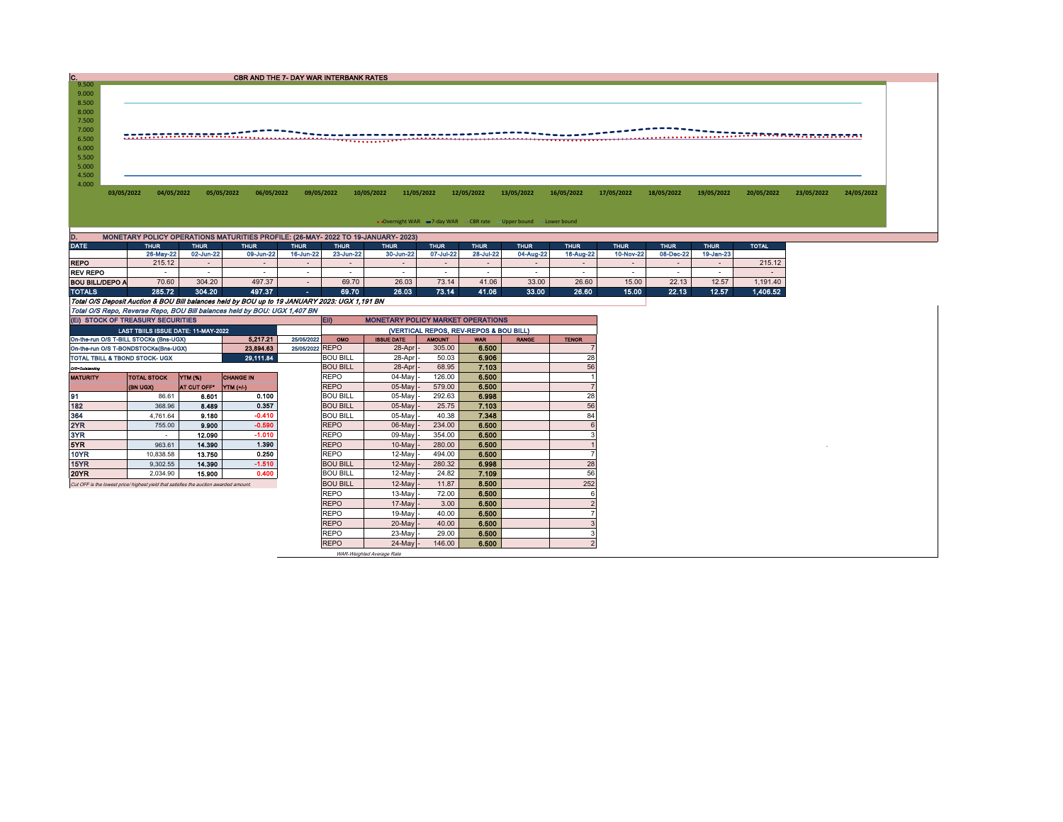| C.<br><b>CBR AND THE 7- DAY WAR INTERBANK RATES</b>                                                                                                                        |                                                                                       |                  |                                                                                   |                  |                                        |                                          |                  |                                                                  |              |              |                  |                  |             |                  |            |            |
|----------------------------------------------------------------------------------------------------------------------------------------------------------------------------|---------------------------------------------------------------------------------------|------------------|-----------------------------------------------------------------------------------|------------------|----------------------------------------|------------------------------------------|------------------|------------------------------------------------------------------|--------------|--------------|------------------|------------------|-------------|------------------|------------|------------|
| 9.500<br>9.000                                                                                                                                                             |                                                                                       |                  |                                                                                   |                  |                                        |                                          |                  |                                                                  |              |              |                  |                  |             |                  |            |            |
| 8.500                                                                                                                                                                      |                                                                                       |                  |                                                                                   |                  |                                        |                                          |                  |                                                                  |              |              |                  |                  |             |                  |            |            |
| 8.000                                                                                                                                                                      |                                                                                       |                  |                                                                                   |                  |                                        |                                          |                  |                                                                  |              |              |                  |                  |             |                  |            |            |
| 7.500                                                                                                                                                                      |                                                                                       |                  |                                                                                   |                  |                                        |                                          |                  |                                                                  |              |              |                  |                  |             |                  |            |            |
| 7.000                                                                                                                                                                      |                                                                                       |                  |                                                                                   |                  |                                        |                                          |                  |                                                                  |              |              |                  |                  |             |                  |            |            |
| 6.500                                                                                                                                                                      |                                                                                       |                  |                                                                                   |                  |                                        |                                          |                  |                                                                  |              |              |                  |                  |             |                  |            |            |
| 6.000<br>5.500                                                                                                                                                             |                                                                                       |                  |                                                                                   |                  |                                        |                                          |                  |                                                                  |              |              |                  |                  |             |                  |            |            |
| 5.000                                                                                                                                                                      |                                                                                       |                  |                                                                                   |                  |                                        |                                          |                  |                                                                  |              |              |                  |                  |             |                  |            |            |
| 4.500                                                                                                                                                                      |                                                                                       |                  |                                                                                   |                  |                                        |                                          |                  |                                                                  |              |              |                  |                  |             |                  |            |            |
| 4.000                                                                                                                                                                      |                                                                                       |                  |                                                                                   |                  |                                        |                                          |                  |                                                                  |              |              |                  |                  |             |                  |            |            |
|                                                                                                                                                                            | 03/05/2022<br>04/05/2022                                                              |                  | 05/05/2022<br>06/05/2022                                                          |                  | 09/05/2022                             | 10/05/2022                               | 11/05/2022       | 12/05/2022                                                       | 13/05/2022   | 16/05/2022   | 17/05/2022       | 18/05/2022       | 19/05/2022  | 20/05/2022       | 23/05/2022 | 24/05/2022 |
|                                                                                                                                                                            |                                                                                       |                  |                                                                                   |                  |                                        |                                          |                  |                                                                  |              |              |                  |                  |             |                  |            |            |
|                                                                                                                                                                            |                                                                                       |                  |                                                                                   |                  |                                        |                                          |                  |                                                                  |              |              |                  |                  |             |                  |            |            |
|                                                                                                                                                                            |                                                                                       |                  |                                                                                   |                  |                                        |                                          |                  | • Overnight WAR = 7-day WAR CBR rate - Upper bound - Lower bound |              |              |                  |                  |             |                  |            |            |
| D.                                                                                                                                                                         |                                                                                       |                  | MONETARY POLICY OPERATIONS MATURITIES PROFILE: (26-MAY- 2022 TO 19-JANUARY- 2023) |                  |                                        |                                          |                  |                                                                  |              |              |                  |                  |             |                  |            |            |
| <b>DATE</b>                                                                                                                                                                | <b>THUR</b>                                                                           | <b>THUR</b>      | <b>THUR</b>                                                                       | <b>THUR</b>      | <b>THUR</b>                            | <b>THUR</b>                              | <b>THUR</b>      | <b>THUR</b>                                                      | <b>THUR</b>  | <b>THUR</b>  | <b>THUR</b>      | <b>THUR</b>      | <b>THUR</b> | <b>TOTAL</b>     |            |            |
|                                                                                                                                                                            | 26-May-22                                                                             | 02-Jun-22        | 09-Jun-22                                                                         | 16-Jun-22        | 23-Jun-22                              | 30-Jun-22                                | 07-Jul-22        | 28-Jul-22                                                        | 04-Aug-22    | 18-Aug-22    | 10-Nov-22        | 08-Dec-22        | 19-Jan-23   |                  |            |            |
| <b>REPO</b><br><b>REV REPO</b>                                                                                                                                             | 215.12<br>$\sim$                                                                      | $\sim$<br>$\sim$ | $\overline{\phantom{a}}$<br>$\sim$                                                |                  | $\overline{\phantom{a}}$<br>$\sim$     | $\sim$                                   | $\sim$<br>$\sim$ | $\sim$<br>$\sim$                                                 | $\sim$       | $\sim$       | $\sim$<br>$\sim$ | $\sim$<br>$\sim$ | $\sim$      | 215.12<br>$\sim$ |            |            |
| <b>BOU BILL/DEPO A</b>                                                                                                                                                     | 70.60                                                                                 | 304.20           | 497.37                                                                            | $\sim$<br>$\sim$ | 69.70                                  | 26.03                                    | 73.14            | 41.06                                                            | 33.00        | 26.60        | 15.00            | 22.13            | 12.57       | 1,191.40         |            |            |
| <b>TOTALS</b>                                                                                                                                                              | 285.72                                                                                | 304.20           | 497.37                                                                            | $\sim$           | 69.70                                  | 26.03                                    | 73.14            | 41.06                                                            | 33.00        | 26.60        | 15.00            | 22.13            | 12.57       | 1.406.52         |            |            |
|                                                                                                                                                                            |                                                                                       |                  |                                                                                   |                  |                                        |                                          |                  |                                                                  |              |              |                  |                  |             |                  |            |            |
| Total O/S Deposit Auction & BOU Bill balances held by BOU up to 19 JANUARY 2023: UGX 1,191 BN<br>Total O/S Repo, Reverse Repo, BOU Bill balances held by BOU: UGX 1,407 BN |                                                                                       |                  |                                                                                   |                  |                                        |                                          |                  |                                                                  |              |              |                  |                  |             |                  |            |            |
|                                                                                                                                                                            | (EI) STOCK OF TREASURY SECURITIES                                                     |                  |                                                                                   |                  | EII)                                   | <b>MONETARY POLICY MARKET OPERATIONS</b> |                  |                                                                  |              |              |                  |                  |             |                  |            |            |
|                                                                                                                                                                            | LAST TBIILS ISSUE DATE: 11-MAY-2022                                                   |                  |                                                                                   |                  | (VERTICAL REPOS, REV-REPOS & BOU BILL) |                                          |                  |                                                                  |              |              |                  |                  |             |                  |            |            |
|                                                                                                                                                                            | On-the-run O/S T-BILL STOCKs (Bns-UGX)                                                |                  | 5.217.21                                                                          | 25/05/2022       | OMO                                    | <b>ISSUE DATE</b>                        | <b>AMOUNT</b>    | <b>WAR</b>                                                       | <b>RANGE</b> | <b>TENOR</b> |                  |                  |             |                  |            |            |
|                                                                                                                                                                            | On-the-run O/S T-BONDSTOCKs(Bns-UGX)                                                  |                  | 23.894.63                                                                         | 25/05/2022 REPO  |                                        | 28-Apr                                   | 305.00           | 6.500                                                            |              |              |                  |                  |             |                  |            |            |
|                                                                                                                                                                            | TOTAL TBILL & TBOND STOCK- UGX                                                        |                  | 29.111.84                                                                         |                  | <b>BOU BILL</b><br><b>BOU BILL</b>     | 28-Apr                                   | 50.03            | 6.906                                                            |              | 28           |                  |                  |             |                  |            |            |
| O/S=Outstanding                                                                                                                                                            |                                                                                       |                  |                                                                                   |                  |                                        | 28-Apr                                   | 68.95            | 7.103                                                            |              | 56           |                  |                  |             |                  |            |            |
| <b>MATURITY</b>                                                                                                                                                            | <b>TOTAL STOCK</b>                                                                    | YTM (%)          | <b>CHANGE IN</b>                                                                  |                  | <b>REPO</b>                            | 04-May                                   | 126.00           | 6.500                                                            |              |              |                  |                  |             |                  |            |            |
|                                                                                                                                                                            | (BN UGX)                                                                              | AT CUT OFF*      | YTM (+/-)                                                                         |                  | <b>REPO</b>                            | 05-May                                   | 579.00           | 6,500                                                            |              |              |                  |                  |             |                  |            |            |
| 91                                                                                                                                                                         | 86.61                                                                                 | 6.601            | 0.100                                                                             |                  | <b>BOU BILL</b>                        | 05-May                                   | 292.63           | 6.998                                                            |              | 28           |                  |                  |             |                  |            |            |
| 182                                                                                                                                                                        | 368.96                                                                                | 8.489            | 0.357                                                                             |                  | <b>BOU BILL</b>                        | 05-May                                   | 25.75            | 7.103                                                            |              | 56           |                  |                  |             |                  |            |            |
| 364                                                                                                                                                                        | 4,761.64                                                                              | 9.180            | $-0.410$                                                                          |                  | <b>BOU BILL</b>                        | $05$ -May                                | 40.38            | 7.348                                                            |              | 84           |                  |                  |             |                  |            |            |
| 2YR                                                                                                                                                                        | 755.00                                                                                | 9.900            | $-0.590$                                                                          |                  | <b>REPO</b>                            | 06-May                                   | 234.00           | 6.500                                                            |              |              |                  |                  |             |                  |            |            |
| 3YR                                                                                                                                                                        | $\sim$                                                                                | 12.090           | $-1.010$                                                                          |                  | <b>REPO</b>                            | 09-May                                   | 354.00           | 6,500                                                            |              |              |                  |                  |             |                  |            |            |
| 5YR                                                                                                                                                                        | 963.61                                                                                | 14,390           | 1.390                                                                             |                  | <b>REPO</b>                            | 10-May                                   | 280.00           | 6.500                                                            |              |              |                  |                  |             |                  |            |            |
| 10YR                                                                                                                                                                       | 10,838.58                                                                             | 13.750           | 0.250<br>$-1.510$                                                                 |                  | <b>REPO</b>                            | 12-May                                   | 494.00           | 6.500                                                            |              |              |                  |                  |             |                  |            |            |
| 15YR<br>20YR                                                                                                                                                               | 9,302.55<br>2.034.90                                                                  | 14.390<br>15,900 | 0.400                                                                             |                  | <b>BOU BILL</b><br><b>BOU BILL</b>     | 12-May<br>12-May                         | 280.32<br>24.82  | 6.998<br>7.109                                                   |              | 28<br>56     |                  |                  |             |                  |            |            |
|                                                                                                                                                                            |                                                                                       |                  |                                                                                   |                  |                                        |                                          | 11.87            | 8.500                                                            |              | 252          |                  |                  |             |                  |            |            |
|                                                                                                                                                                            | Cut OFF is the lowest price/ highest yield that satisfies the auction awarded amount. |                  |                                                                                   |                  | <b>BOU BILL</b>                        | $12$ -May $-$                            |                  |                                                                  |              |              |                  |                  |             |                  |            |            |

REPO 13-May 72.00 6.500 6<br>REPO 17-May 3.00 6.500 2 REPO | 17-May |- 3.00 | 6.500 | | 2 REPO 19-May 40.00 6.500 7<br>REPO 20-May 40.00 6.500 3 REPO 20-May - 40.00 REPO 23-May 29.00 6.500<br>REPO 24-May 146.00 6.500 24-May - 146.00 6.500 2

WAR-Weighted Average Rate